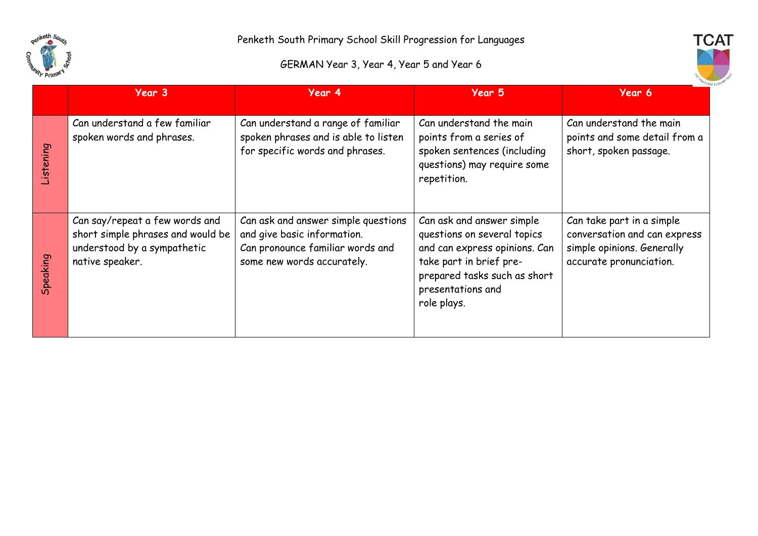

## GERMAN Year 3, Year 4, Year 5 and Year 6



|           | Year 3                                                                                                                | Year 4                                                                                                                               | Year 5                                                                                                                                                                                   | Year 6                                                                                                             |
|-----------|-----------------------------------------------------------------------------------------------------------------------|--------------------------------------------------------------------------------------------------------------------------------------|------------------------------------------------------------------------------------------------------------------------------------------------------------------------------------------|--------------------------------------------------------------------------------------------------------------------|
| Listening | Can understand a few familiar<br>spoken words and phrases.                                                            | Can understand a range of familiar<br>spoken phrases and is able to listen<br>for specific words and phrases.                        | Can understand the main<br>points from a series of<br>spoken sentences (including<br>questions) may require some<br>repetition.                                                          | Can understand the main<br>points and some detail from a<br>short, spoken passage.                                 |
| Speaking  | Can say/repeat a few words and<br>short simple phrases and would be<br>understood by a sympathetic<br>native speaker. | Can ask and answer simple questions<br>and give basic information.<br>Can pronounce familiar words and<br>some new words accurately. | Can ask and answer simple<br>questions on several topics<br>and can express opinions. Can<br>take part in brief pre-<br>prepared tasks such as short<br>presentations and<br>role plays. | Can take part in a simple<br>conversation and can express<br>simple opinions. Generally<br>accurate pronunciation. |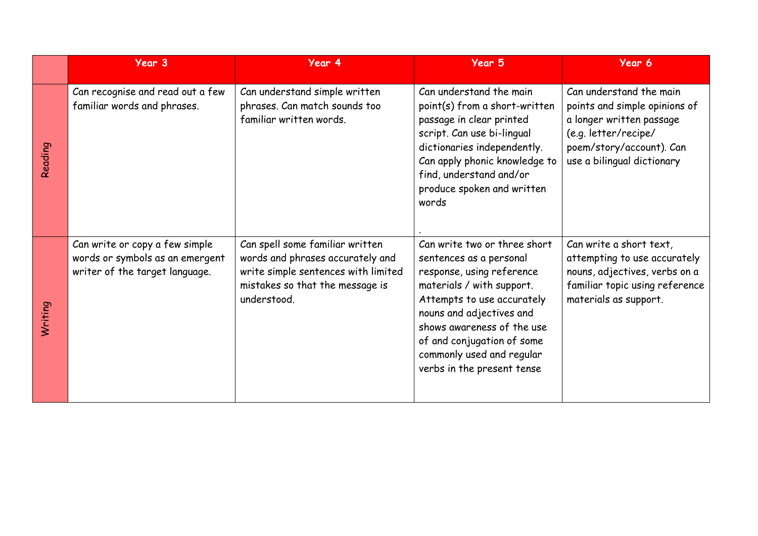|         | Year 3                                                                                              | Year 4                                                                                                                                                       | Year 5                                                                                                                                                                                                                                                                                             | Year 6                                                                                                                                                                 |
|---------|-----------------------------------------------------------------------------------------------------|--------------------------------------------------------------------------------------------------------------------------------------------------------------|----------------------------------------------------------------------------------------------------------------------------------------------------------------------------------------------------------------------------------------------------------------------------------------------------|------------------------------------------------------------------------------------------------------------------------------------------------------------------------|
| Reading | Can recognise and read out a few<br>familiar words and phrases.                                     | Can understand simple written<br>phrases. Can match sounds too<br>familiar written words.                                                                    | Can understand the main<br>point(s) from a short-written<br>passage in clear printed<br>script. Can use bi-lingual<br>dictionaries independently.<br>Can apply phonic knowledge to<br>find, understand and/or<br>produce spoken and written<br>words                                               | Can understand the main<br>points and simple opinions of<br>a longer written passage<br>(e.g. letter/recipe/<br>poem/story/account). Can<br>use a bilingual dictionary |
| Writing | Can write or copy a few simple<br>words or symbols as an emergent<br>writer of the target language. | Can spell some familiar written<br>words and phrases accurately and<br>write simple sentences with limited<br>mistakes so that the message is<br>understood. | Can write two or three short<br>sentences as a personal<br>response, using reference<br>materials / with support.<br>Attempts to use accurately<br>nouns and adjectives and<br>shows awareness of the use<br>of and conjugation of some<br>commonly used and regular<br>verbs in the present tense | Can write a short text,<br>attempting to use accurately<br>nouns, adjectives, verbs on a<br>familiar topic using reference<br>materials as support.                    |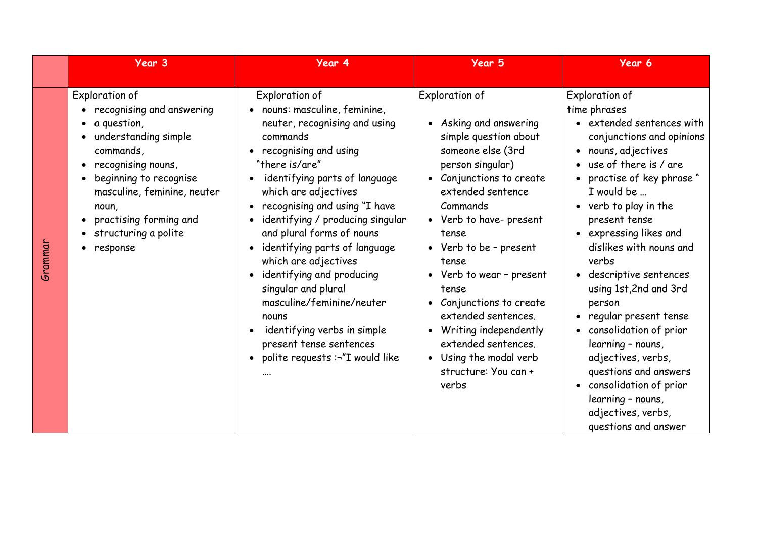|         | Year 3                                                                                                                                                                                                                                                                                    | Year 4                                                                                                                                                                                                                                                                                                                                                                                                                                                                                                                                                        | Year 5                                                                                                                                                                                                                                                                                                                                                                                                                                                                          | Year 6                                                                                                                                                                                                                                                                                                                                                                                                                                                                                                                                                                            |
|---------|-------------------------------------------------------------------------------------------------------------------------------------------------------------------------------------------------------------------------------------------------------------------------------------------|---------------------------------------------------------------------------------------------------------------------------------------------------------------------------------------------------------------------------------------------------------------------------------------------------------------------------------------------------------------------------------------------------------------------------------------------------------------------------------------------------------------------------------------------------------------|---------------------------------------------------------------------------------------------------------------------------------------------------------------------------------------------------------------------------------------------------------------------------------------------------------------------------------------------------------------------------------------------------------------------------------------------------------------------------------|-----------------------------------------------------------------------------------------------------------------------------------------------------------------------------------------------------------------------------------------------------------------------------------------------------------------------------------------------------------------------------------------------------------------------------------------------------------------------------------------------------------------------------------------------------------------------------------|
| Grammar | Exploration of<br>recognising and answering<br>$\bullet$ a question,<br>understanding simple<br>commands,<br>recognising nouns,<br>$\bullet$<br>beginning to recognise<br>$\bullet$<br>masculine, feminine, neuter<br>noun,<br>practising forming and<br>structuring a polite<br>response | Exploration of<br>nouns: masculine, feminine,<br>neuter, recognising and using<br>commands<br>recognising and using<br>"there is/are"<br>identifying parts of language<br>which are adjectives<br>recognising and using "I have<br>identifying / producing singular<br>and plural forms of nouns<br>identifying parts of language<br>$\bullet$<br>which are adjectives<br>identifying and producing<br>singular and plural<br>masculine/feminine/neuter<br>nouns<br>identifying verbs in simple<br>present tense sentences<br>polite requests :-"I would like | Exploration of<br>Asking and answering<br>$\bullet$<br>simple question about<br>someone else (3rd<br>person singular)<br>Conjunctions to create<br>$\bullet$<br>extended sentence<br>Commands<br>• Verb to have-present<br>tense<br>• Verb to be - present<br>tense<br>• Verb to wear - present<br>tense<br>Conjunctions to create<br>extended sentences.<br>Writing independently<br>extended sentences.<br>Using the modal verb<br>$\bullet$<br>structure: You can +<br>verbs | Exploration of<br>time phrases<br>• extended sentences with<br>conjunctions and opinions<br>• nouns, adjectives<br>use of there is / are<br>practise of key phrase "<br>I would be<br>• verb to play in the<br>present tense<br>• expressing likes and<br>dislikes with nouns and<br>verbs<br>· descriptive sentences<br>using 1st, 2nd and 3rd<br>person<br>• regular present tense<br>consolidation of prior<br>learning - nouns,<br>adjectives, verbs,<br>questions and answers<br>• consolidation of prior<br>learning - nouns,<br>adjectives, verbs,<br>questions and answer |